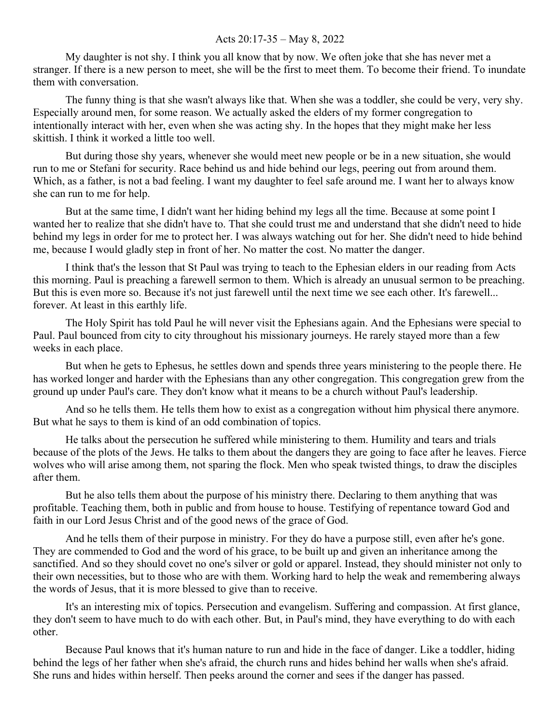## Acts 20:17-35 – May 8, 2022

My daughter is not shy. I think you all know that by now. We often joke that she has never met a stranger. If there is a new person to meet, she will be the first to meet them. To become their friend. To inundate them with conversation.

The funny thing is that she wasn't always like that. When she was a toddler, she could be very, very shy. Especially around men, for some reason. We actually asked the elders of my former congregation to intentionally interact with her, even when she was acting shy. In the hopes that they might make her less skittish. I think it worked a little too well.

But during those shy years, whenever she would meet new people or be in a new situation, she would run to me or Stefani for security. Race behind us and hide behind our legs, peering out from around them. Which, as a father, is not a bad feeling. I want my daughter to feel safe around me. I want her to always know she can run to me for help.

But at the same time, I didn't want her hiding behind my legs all the time. Because at some point I wanted her to realize that she didn't have to. That she could trust me and understand that she didn't need to hide behind my legs in order for me to protect her. I was always watching out for her. She didn't need to hide behind me, because I would gladly step in front of her. No matter the cost. No matter the danger.

I think that's the lesson that St Paul was trying to teach to the Ephesian elders in our reading from Acts this morning. Paul is preaching a farewell sermon to them. Which is already an unusual sermon to be preaching. But this is even more so. Because it's not just farewell until the next time we see each other. It's farewell... forever. At least in this earthly life.

The Holy Spirit has told Paul he will never visit the Ephesians again. And the Ephesians were special to Paul. Paul bounced from city to city throughout his missionary journeys. He rarely stayed more than a few weeks in each place.

But when he gets to Ephesus, he settles down and spends three years ministering to the people there. He has worked longer and harder with the Ephesians than any other congregation. This congregation grew from the ground up under Paul's care. They don't know what it means to be a church without Paul's leadership.

And so he tells them. He tells them how to exist as a congregation without him physical there anymore. But what he says to them is kind of an odd combination of topics.

He talks about the persecution he suffered while ministering to them. Humility and tears and trials because of the plots of the Jews. He talks to them about the dangers they are going to face after he leaves. Fierce wolves who will arise among them, not sparing the flock. Men who speak twisted things, to draw the disciples after them.

But he also tells them about the purpose of his ministry there. Declaring to them anything that was profitable. Teaching them, both in public and from house to house. Testifying of repentance toward God and faith in our Lord Jesus Christ and of the good news of the grace of God.

And he tells them of their purpose in ministry. For they do have a purpose still, even after he's gone. They are commended to God and the word of his grace, to be built up and given an inheritance among the sanctified. And so they should covet no one's silver or gold or apparel. Instead, they should minister not only to their own necessities, but to those who are with them. Working hard to help the weak and remembering always the words of Jesus, that it is more blessed to give than to receive.

It's an interesting mix of topics. Persecution and evangelism. Suffering and compassion. At first glance, they don't seem to have much to do with each other. But, in Paul's mind, they have everything to do with each other.

Because Paul knows that it's human nature to run and hide in the face of danger. Like a toddler, hiding behind the legs of her father when she's afraid, the church runs and hides behind her walls when she's afraid. She runs and hides within herself. Then peeks around the corner and sees if the danger has passed.